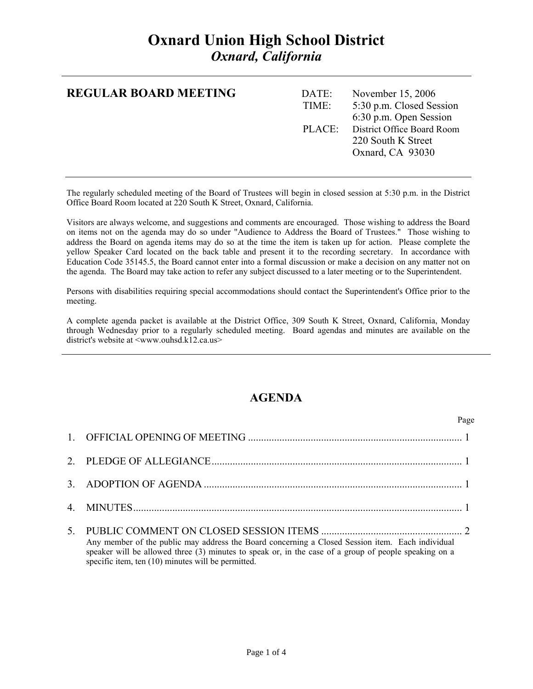| <b>REGULAR BOARD MEETING</b> | DATE: | November 15, 2006          |
|------------------------------|-------|----------------------------|
|                              | TIME: | 5:30 p.m. Closed Session   |
|                              |       | 6:30 p.m. Open Session     |
|                              | PLACE | District Office Board Room |
|                              |       | 220 South K Street         |
|                              |       | Oxnard, CA 93030           |
|                              |       |                            |
|                              |       |                            |

The regularly scheduled meeting of the Board of Trustees will begin in closed session at 5:30 p.m. in the District Office Board Room located at 220 South K Street, Oxnard, California.

Visitors are always welcome, and suggestions and comments are encouraged. Those wishing to address the Board on items not on the agenda may do so under "Audience to Address the Board of Trustees." Those wishing to address the Board on agenda items may do so at the time the item is taken up for action. Please complete the yellow Speaker Card located on the back table and present it to the recording secretary. In accordance with Education Code 35145.5, the Board cannot enter into a formal discussion or make a decision on any matter not on the agenda. The Board may take action to refer any subject discussed to a later meeting or to the Superintendent.

Persons with disabilities requiring special accommodations should contact the Superintendent's Office prior to the meeting.

A complete agenda packet is available at the District Office, 309 South K Street, Oxnard, California, Monday through Wednesday prior to a regularly scheduled meeting. Board agendas and minutes are available on the district's website at <www.ouhsd.k12.ca.us>

#### **AGENDA**

Page **Page** 

| Any member of the public may address the Board concerning a Closed Session item. Each individual<br>speaker will be allowed three (3) minutes to speak or, in the case of a group of people speaking on a<br>specific item, ten (10) minutes will be permitted. |
|-----------------------------------------------------------------------------------------------------------------------------------------------------------------------------------------------------------------------------------------------------------------|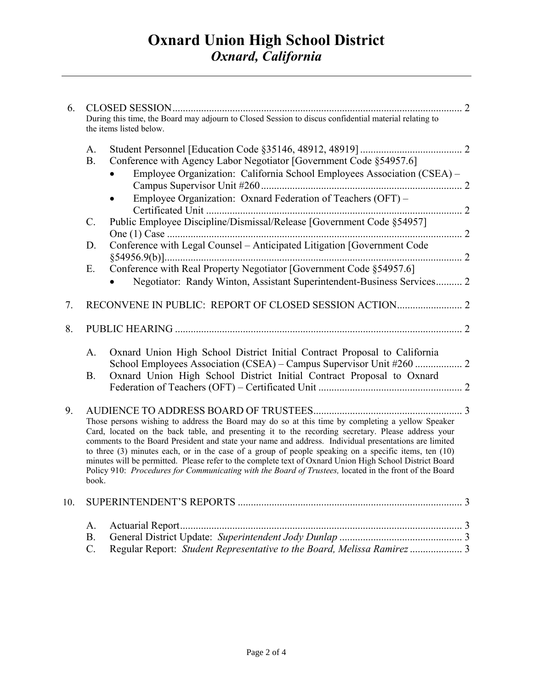| 6.  |                 |                                                                                                                                                                                                                                                                                                                                                                                                                                                                                                                                                                                                                                                   |  |
|-----|-----------------|---------------------------------------------------------------------------------------------------------------------------------------------------------------------------------------------------------------------------------------------------------------------------------------------------------------------------------------------------------------------------------------------------------------------------------------------------------------------------------------------------------------------------------------------------------------------------------------------------------------------------------------------------|--|
|     |                 | During this time, the Board may adjourn to Closed Session to discus confidential material relating to<br>the items listed below.                                                                                                                                                                                                                                                                                                                                                                                                                                                                                                                  |  |
|     | A.              |                                                                                                                                                                                                                                                                                                                                                                                                                                                                                                                                                                                                                                                   |  |
|     | B <sub>r</sub>  | Conference with Agency Labor Negotiator [Government Code §54957.6]                                                                                                                                                                                                                                                                                                                                                                                                                                                                                                                                                                                |  |
|     |                 | Employee Organization: California School Employees Association (CSEA) –                                                                                                                                                                                                                                                                                                                                                                                                                                                                                                                                                                           |  |
|     |                 |                                                                                                                                                                                                                                                                                                                                                                                                                                                                                                                                                                                                                                                   |  |
|     |                 | Employee Organization: Oxnard Federation of Teachers (OFT) –                                                                                                                                                                                                                                                                                                                                                                                                                                                                                                                                                                                      |  |
|     | $\mathcal{C}$ . | Public Employee Discipline/Dismissal/Release [Government Code §54957]                                                                                                                                                                                                                                                                                                                                                                                                                                                                                                                                                                             |  |
|     | D.              | Conference with Legal Counsel - Anticipated Litigation [Government Code                                                                                                                                                                                                                                                                                                                                                                                                                                                                                                                                                                           |  |
|     | Ε.              | Conference with Real Property Negotiator [Government Code §54957.6]                                                                                                                                                                                                                                                                                                                                                                                                                                                                                                                                                                               |  |
|     |                 | Negotiator: Randy Winton, Assistant Superintendent-Business Services 2                                                                                                                                                                                                                                                                                                                                                                                                                                                                                                                                                                            |  |
| 7.  |                 |                                                                                                                                                                                                                                                                                                                                                                                                                                                                                                                                                                                                                                                   |  |
| 8.  |                 |                                                                                                                                                                                                                                                                                                                                                                                                                                                                                                                                                                                                                                                   |  |
|     | A.              | Oxnard Union High School District Initial Contract Proposal to California                                                                                                                                                                                                                                                                                                                                                                                                                                                                                                                                                                         |  |
|     |                 |                                                                                                                                                                                                                                                                                                                                                                                                                                                                                                                                                                                                                                                   |  |
|     | <b>B.</b>       | Oxnard Union High School District Initial Contract Proposal to Oxnard                                                                                                                                                                                                                                                                                                                                                                                                                                                                                                                                                                             |  |
| 9.  |                 |                                                                                                                                                                                                                                                                                                                                                                                                                                                                                                                                                                                                                                                   |  |
|     | book.           | Those persons wishing to address the Board may do so at this time by completing a yellow Speaker<br>Card, located on the back table, and presenting it to the recording secretary. Please address your<br>comments to the Board President and state your name and address. Individual presentations are limited<br>to three $(3)$ minutes each, or in the case of a group of people speaking on a specific items, ten $(10)$<br>minutes will be permitted. Please refer to the complete text of Oxnard Union High School District Board<br>Policy 910: Procedures for Communicating with the Board of Trustees, located in the front of the Board |  |
| 10. |                 |                                                                                                                                                                                                                                                                                                                                                                                                                                                                                                                                                                                                                                                   |  |
|     | A.              |                                                                                                                                                                                                                                                                                                                                                                                                                                                                                                                                                                                                                                                   |  |
|     | <b>B.</b>       |                                                                                                                                                                                                                                                                                                                                                                                                                                                                                                                                                                                                                                                   |  |
|     | $\mathcal{C}$ . |                                                                                                                                                                                                                                                                                                                                                                                                                                                                                                                                                                                                                                                   |  |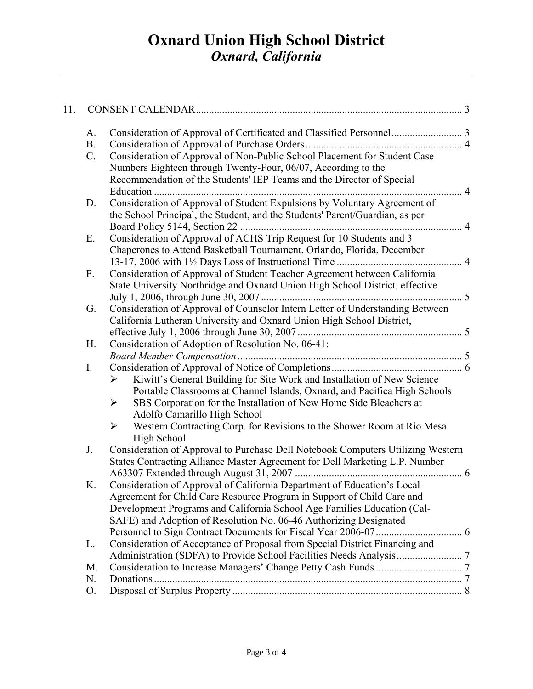| 11. |             |                                                                                                 |  |
|-----|-------------|-------------------------------------------------------------------------------------------------|--|
|     | A.          |                                                                                                 |  |
|     | <b>B.</b>   |                                                                                                 |  |
|     | $C_{\cdot}$ | Consideration of Approval of Non-Public School Placement for Student Case                       |  |
|     |             | Numbers Eighteen through Twenty-Four, 06/07, According to the                                   |  |
|     |             | Recommendation of the Students' IEP Teams and the Director of Special                           |  |
|     |             |                                                                                                 |  |
|     | D.          | Consideration of Approval of Student Expulsions by Voluntary Agreement of                       |  |
|     |             | the School Principal, the Student, and the Students' Parent/Guardian, as per                    |  |
|     |             |                                                                                                 |  |
|     | Ε.          | Consideration of Approval of ACHS Trip Request for 10 Students and 3                            |  |
|     |             | Chaperones to Attend Basketball Tournament, Orlando, Florida, December                          |  |
|     |             |                                                                                                 |  |
|     | F.          | Consideration of Approval of Student Teacher Agreement between California                       |  |
|     |             | State University Northridge and Oxnard Union High School District, effective                    |  |
|     | G.          | Consideration of Approval of Counselor Intern Letter of Understanding Between                   |  |
|     |             | California Lutheran University and Oxnard Union High School District,                           |  |
|     |             |                                                                                                 |  |
|     | Η.          | Consideration of Adoption of Resolution No. 06-41:                                              |  |
|     |             |                                                                                                 |  |
|     | I.          |                                                                                                 |  |
|     |             | Kiwitt's General Building for Site Work and Installation of New Science<br>➤                    |  |
|     |             | Portable Classrooms at Channel Islands, Oxnard, and Pacifica High Schools                       |  |
|     |             | SBS Corporation for the Installation of New Home Side Bleachers at<br>➤                         |  |
|     |             | Adolfo Camarillo High School                                                                    |  |
|     |             | Western Contracting Corp. for Revisions to the Shower Room at Rio Mesa<br>$\blacktriangleright$ |  |
|     |             | High School                                                                                     |  |
|     | J.          | Consideration of Approval to Purchase Dell Notebook Computers Utilizing Western                 |  |
|     |             | States Contracting Alliance Master Agreement for Dell Marketing L.P. Number                     |  |
|     |             |                                                                                                 |  |
|     | Κ.          | Consideration of Approval of California Department of Education's Local                         |  |
|     |             | Agreement for Child Care Resource Program in Support of Child Care and                          |  |
|     |             | Development Programs and California School Age Families Education (Cal-                         |  |
|     |             | SAFE) and Adoption of Resolution No. 06-46 Authorizing Designated                               |  |
|     |             |                                                                                                 |  |
|     | L.          | Consideration of Acceptance of Proposal from Special District Financing and                     |  |
|     |             |                                                                                                 |  |
|     | M.          |                                                                                                 |  |
|     | N.          |                                                                                                 |  |
|     | Ο.          |                                                                                                 |  |